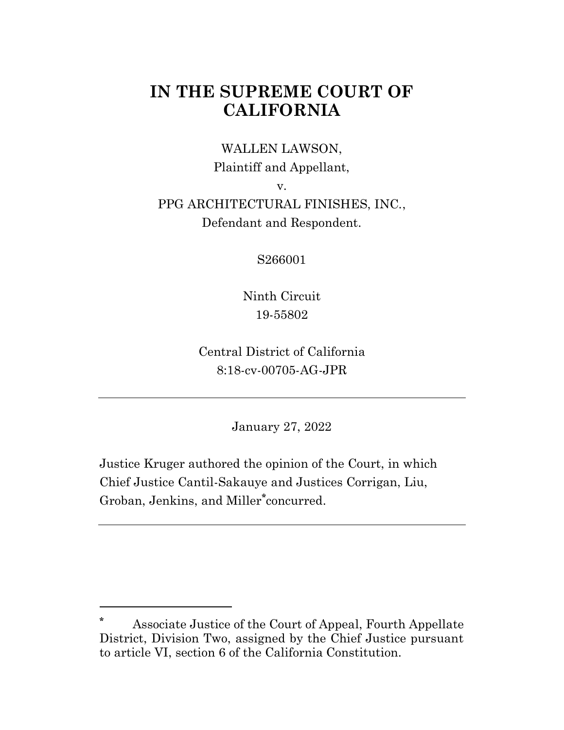# **IN THE SUPREME COURT OF CALIFORNIA**

### WALLEN LAWSON,

Plaintiff and Appellant,

v.

## PPG ARCHITECTURAL FINISHES, INC., Defendant and Respondent.

S266001

Ninth Circuit 19-55802

Central District of California 8:18-cv-00705-AG-JPR

January 27, 2022

Justice Kruger authored the opinion of the Court, in which Chief Justice Cantil-Sakauye and Justices Corrigan, Liu, Groban, Jenkins, and Miller**\*** concurred.

**<sup>\*</sup>** Associate Justice of the Court of Appeal, Fourth Appellate District, Division Two, assigned by the Chief Justice pursuant to article VI, section 6 of the California Constitution.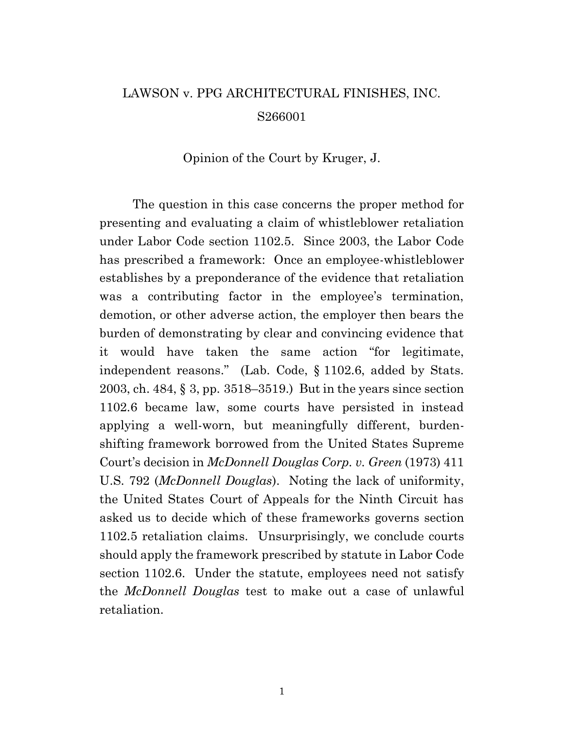# LAWSON v. PPG ARCHITECTURAL FINISHES, INC. S266001

#### Opinion of the Court by Kruger, J.

The question in this case concerns the proper method for presenting and evaluating a claim of whistleblower retaliation under Labor Code section 1102.5. Since 2003, the Labor Code has prescribed a framework: Once an employee-whistleblower establishes by a preponderance of the evidence that retaliation was a contributing factor in the employee's termination, demotion, or other adverse action, the employer then bears the burden of demonstrating by clear and convincing evidence that it would have taken the same action "for legitimate, independent reasons." (Lab. Code, § 1102.6, added by Stats. 2003, ch. 484, § 3, pp. 3518–3519.) But in the years since section 1102.6 became law, some courts have persisted in instead applying a well-worn, but meaningfully different, burdenshifting framework borrowed from the United States Supreme Court's decision in *McDonnell Douglas Corp. v. Green* (1973) 411 U.S. 792 (*McDonnell Douglas*). Noting the lack of uniformity, the United States Court of Appeals for the Ninth Circuit has asked us to decide which of these frameworks governs section 1102.5 retaliation claims. Unsurprisingly, we conclude courts should apply the framework prescribed by statute in Labor Code section 1102.6. Under the statute, employees need not satisfy the *McDonnell Douglas* test to make out a case of unlawful retaliation.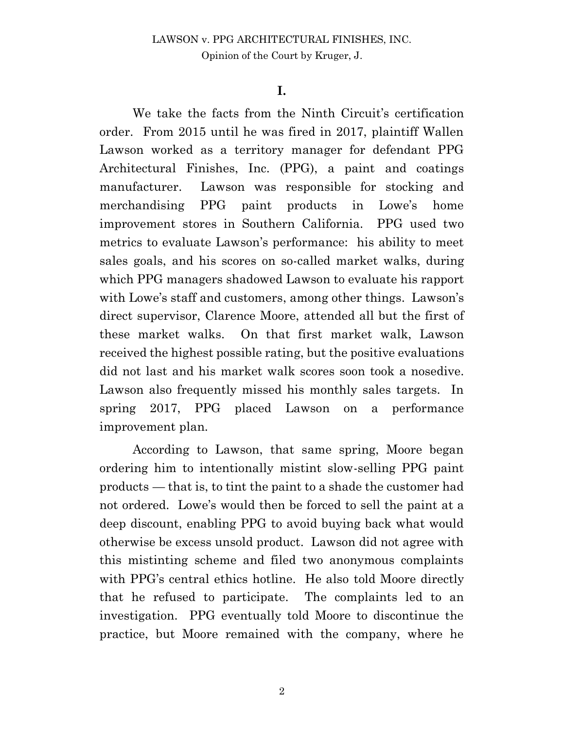#### **I.**

We take the facts from the Ninth Circuit's certification order. From 2015 until he was fired in 2017, plaintiff Wallen Lawson worked as a territory manager for defendant PPG Architectural Finishes, Inc. (PPG), a paint and coatings manufacturer. Lawson was responsible for stocking and merchandising PPG paint products in Lowe's home improvement stores in Southern California. PPG used two metrics to evaluate Lawson's performance: his ability to meet sales goals, and his scores on so-called market walks, during which PPG managers shadowed Lawson to evaluate his rapport with Lowe's staff and customers, among other things. Lawson's direct supervisor, Clarence Moore, attended all but the first of these market walks. On that first market walk, Lawson received the highest possible rating, but the positive evaluations did not last and his market walk scores soon took a nosedive. Lawson also frequently missed his monthly sales targets. In spring 2017, PPG placed Lawson on a performance improvement plan.

According to Lawson, that same spring, Moore began ordering him to intentionally mistint slow-selling PPG paint products — that is, to tint the paint to a shade the customer had not ordered. Lowe's would then be forced to sell the paint at a deep discount, enabling PPG to avoid buying back what would otherwise be excess unsold product. Lawson did not agree with this mistinting scheme and filed two anonymous complaints with PPG's central ethics hotline. He also told Moore directly that he refused to participate. The complaints led to an investigation. PPG eventually told Moore to discontinue the practice, but Moore remained with the company, where he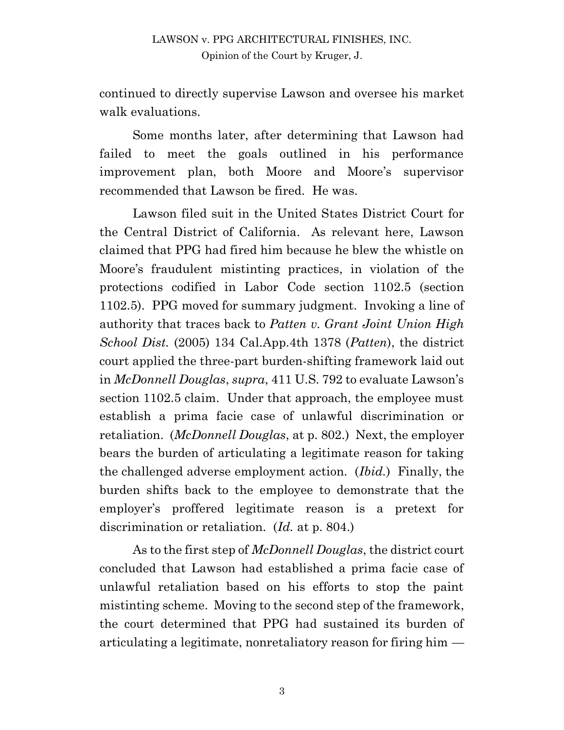continued to directly supervise Lawson and oversee his market walk evaluations.

Some months later, after determining that Lawson had failed to meet the goals outlined in his performance improvement plan, both Moore and Moore's supervisor recommended that Lawson be fired. He was.

Lawson filed suit in the United States District Court for the Central District of California. As relevant here, Lawson claimed that PPG had fired him because he blew the whistle on Moore's fraudulent mistinting practices, in violation of the protections codified in Labor Code section 1102.5 (section 1102.5). PPG moved for summary judgment. Invoking a line of authority that traces back to *Patten v. Grant Joint Union High School Dist.* (2005) 134 Cal.App.4th 1378 (*Patten*), the district court applied the three-part burden-shifting framework laid out in *McDonnell Douglas*, *supra*, 411 U.S. 792 to evaluate Lawson's section 1102.5 claim. Under that approach, the employee must establish a prima facie case of unlawful discrimination or retaliation. (*McDonnell Douglas*, at p. 802.) Next, the employer bears the burden of articulating a legitimate reason for taking the challenged adverse employment action. (*Ibid.*) Finally, the burden shifts back to the employee to demonstrate that the employer's proffered legitimate reason is a pretext for discrimination or retaliation. (*Id.* at p. 804.)

As to the first step of *McDonnell Douglas*, the district court concluded that Lawson had established a prima facie case of unlawful retaliation based on his efforts to stop the paint mistinting scheme. Moving to the second step of the framework, the court determined that PPG had sustained its burden of articulating a legitimate, nonretaliatory reason for firing him —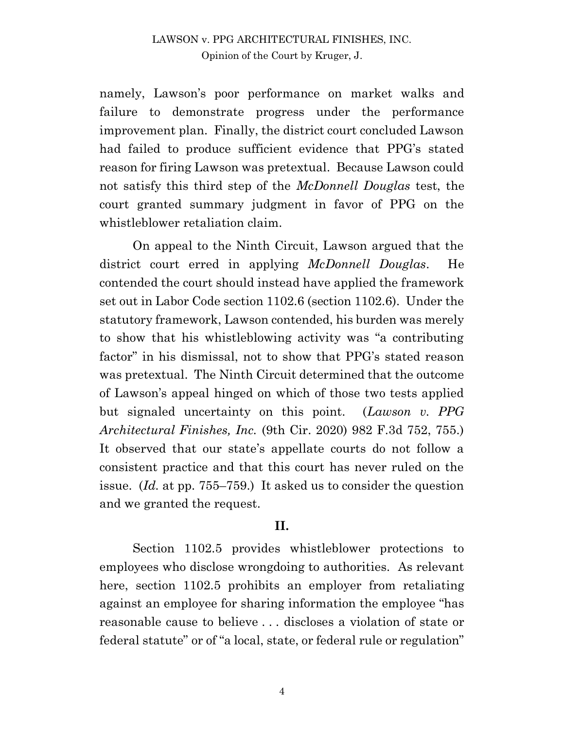namely, Lawson's poor performance on market walks and failure to demonstrate progress under the performance improvement plan. Finally, the district court concluded Lawson had failed to produce sufficient evidence that PPG's stated reason for firing Lawson was pretextual. Because Lawson could not satisfy this third step of the *McDonnell Douglas* test, the court granted summary judgment in favor of PPG on the whistleblower retaliation claim.

On appeal to the Ninth Circuit, Lawson argued that the district court erred in applying *McDonnell Douglas*. He contended the court should instead have applied the framework set out in Labor Code section 1102.6 (section 1102.6). Under the statutory framework, Lawson contended, his burden was merely to show that his whistleblowing activity was "a contributing factor" in his dismissal, not to show that PPG's stated reason was pretextual. The Ninth Circuit determined that the outcome of Lawson's appeal hinged on which of those two tests applied but signaled uncertainty on this point. (*Lawson v. PPG Architectural Finishes, Inc.* (9th Cir. 2020) 982 F.3d 752, 755.) It observed that our state's appellate courts do not follow a consistent practice and that this court has never ruled on the issue. (*Id.* at pp. 755–759.) It asked us to consider the question and we granted the request.

#### **II.**

Section 1102.5 provides whistleblower protections to employees who disclose wrongdoing to authorities. As relevant here, section 1102.5 prohibits an employer from retaliating against an employee for sharing information the employee "has reasonable cause to believe . . . discloses a violation of state or federal statute" or of "a local, state, or federal rule or regulation"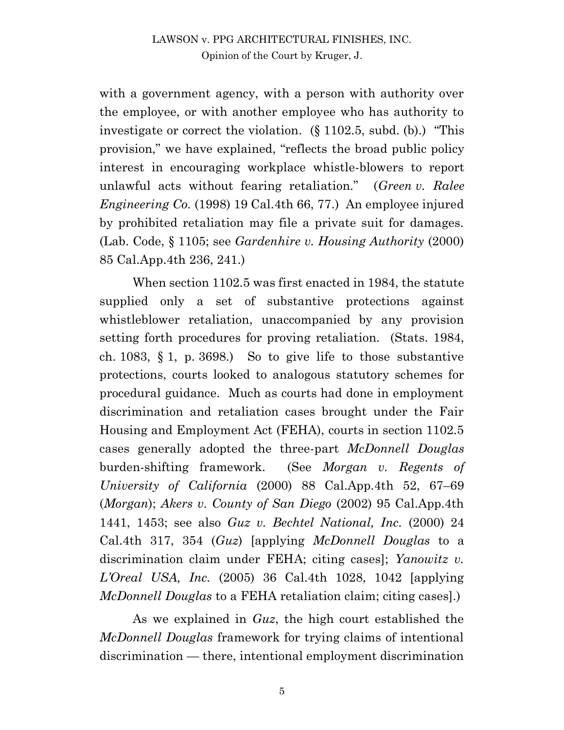with a government agency, with a person with authority over the employee, or with another employee who has authority to investigate or correct the violation. (§ 1102.5, subd. (b).) "This provision," we have explained, "reflects the broad public policy interest in encouraging workplace whistle-blowers to report unlawful acts without fearing retaliation." (*Green v. Ralee Engineering Co.* (1998) 19 Cal.4th 66, 77.) An employee injured by prohibited retaliation may file a private suit for damages. (Lab. Code, § 1105; see *Gardenhire v. Housing Authority* (2000) 85 Cal.App.4th 236, 241.)

When section 1102.5 was first enacted in 1984, the statute supplied only a set of substantive protections against whistleblower retaliation, unaccompanied by any provision setting forth procedures for proving retaliation. (Stats. 1984, ch. 1083,  $\{1, p. 3698\}$ . So to give life to those substantive protections, courts looked to analogous statutory schemes for procedural guidance. Much as courts had done in employment discrimination and retaliation cases brought under the Fair Housing and Employment Act (FEHA), courts in section 1102.5 cases generally adopted the three-part *McDonnell Douglas* burden-shifting framework. (See *Morgan v. Regents of University of California* (2000) 88 Cal.App.4th 52, 67–69 (*Morgan*); *Akers v. County of San Diego* (2002) 95 Cal.App.4th 1441, 1453; see also *Guz v. Bechtel National, Inc.* (2000) 24 Cal.4th 317, 354 (*Guz*) [applying *McDonnell Douglas* to a discrimination claim under FEHA; citing cases]; *Yanowitz v. L'Oreal USA, Inc.* (2005) 36 Cal.4th 1028, 1042 [applying *McDonnell Douglas* to a FEHA retaliation claim; citing cases].)

As we explained in *Guz*, the high court established the *McDonnell Douglas* framework for trying claims of intentional discrimination — there, intentional employment discrimination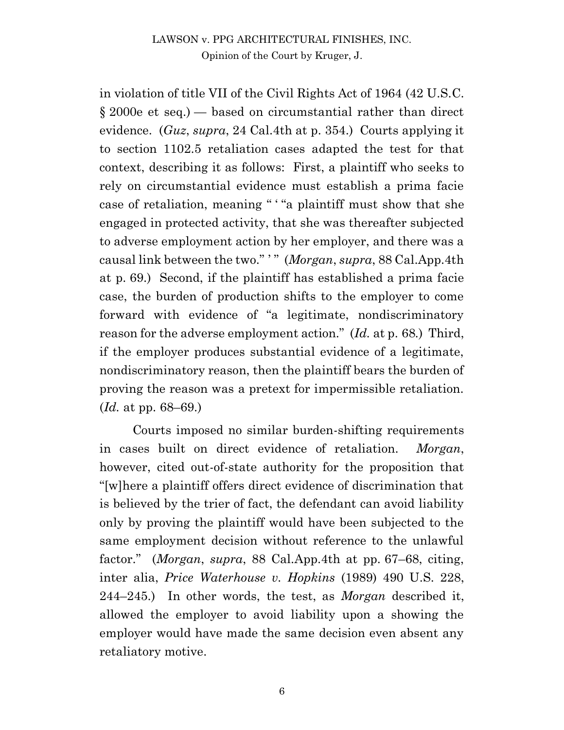in violation of title VII of the Civil Rights Act of 1964 (42 U.S.C. § 2000e et seq.) — based on circumstantial rather than direct evidence. (*Guz*, *supra*, 24 Cal.4th at p. 354.) Courts applying it to section 1102.5 retaliation cases adapted the test for that context, describing it as follows: First, a plaintiff who seeks to rely on circumstantial evidence must establish a prima facie case of retaliation, meaning " ' "a plaintiff must show that she engaged in protected activity, that she was thereafter subjected to adverse employment action by her employer, and there was a causal link between the two." ' " (*Morgan*, *supra*, 88 Cal.App.4th at p. 69.) Second, if the plaintiff has established a prima facie case, the burden of production shifts to the employer to come forward with evidence of "a legitimate, nondiscriminatory reason for the adverse employment action." (*Id.* at p. 68*.*) Third, if the employer produces substantial evidence of a legitimate, nondiscriminatory reason, then the plaintiff bears the burden of proving the reason was a pretext for impermissible retaliation. (*Id.* at pp. 68–69.)

Courts imposed no similar burden-shifting requirements in cases built on direct evidence of retaliation. *Morgan*, however, cited out-of-state authority for the proposition that "[w]here a plaintiff offers direct evidence of discrimination that is believed by the trier of fact, the defendant can avoid liability only by proving the plaintiff would have been subjected to the same employment decision without reference to the unlawful factor." (*Morgan*, *supra*, 88 Cal.App.4th at pp. 67–68, citing, inter alia, *Price Waterhouse v. Hopkins* (1989) 490 U.S. 228, 244–245.) In other words, the test, as *Morgan* described it, allowed the employer to avoid liability upon a showing the employer would have made the same decision even absent any retaliatory motive.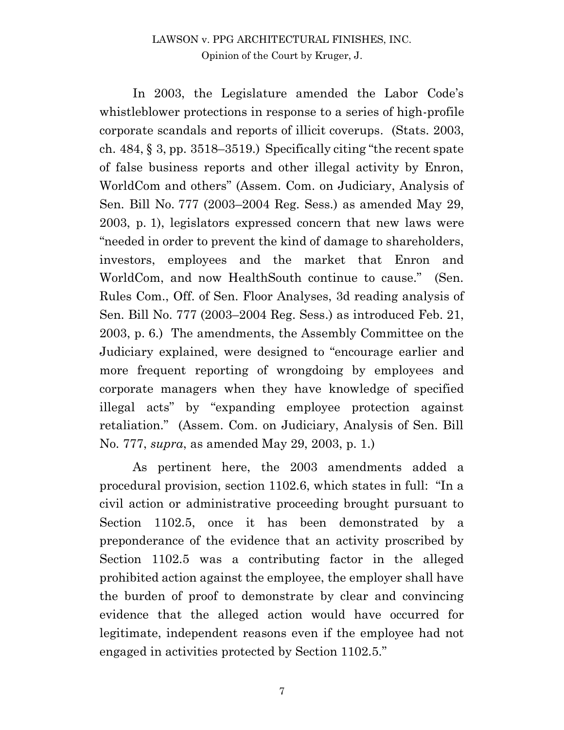In 2003, the Legislature amended the Labor Code's whistleblower protections in response to a series of high-profile corporate scandals and reports of illicit coverups. (Stats. 2003, ch. 484, § 3, pp. 3518–3519.) Specifically citing "the recent spate of false business reports and other illegal activity by Enron, WorldCom and others" (Assem. Com. on Judiciary, Analysis of Sen. Bill No. 777 (2003–2004 Reg. Sess.) as amended May 29, 2003, p. 1), legislators expressed concern that new laws were "needed in order to prevent the kind of damage to shareholders, investors, employees and the market that Enron and WorldCom, and now HealthSouth continue to cause." (Sen. Rules Com., Off. of Sen. Floor Analyses, 3d reading analysis of Sen. Bill No. 777 (2003–2004 Reg. Sess.) as introduced Feb. 21, 2003, p. 6.) The amendments, the Assembly Committee on the Judiciary explained, were designed to "encourage earlier and more frequent reporting of wrongdoing by employees and corporate managers when they have knowledge of specified illegal acts" by "expanding employee protection against retaliation." (Assem. Com. on Judiciary, Analysis of Sen. Bill No. 777, *supra*, as amended May 29, 2003, p. 1.)

As pertinent here, the 2003 amendments added a procedural provision, section 1102.6, which states in full: "In a civil action or administrative proceeding brought pursuant to Section 1102.5, once it has been demonstrated by a preponderance of the evidence that an activity proscribed by Section 1102.5 was a contributing factor in the alleged prohibited action against the employee, the employer shall have the burden of proof to demonstrate by clear and convincing evidence that the alleged action would have occurred for legitimate, independent reasons even if the employee had not engaged in activities protected by Section 1102.5."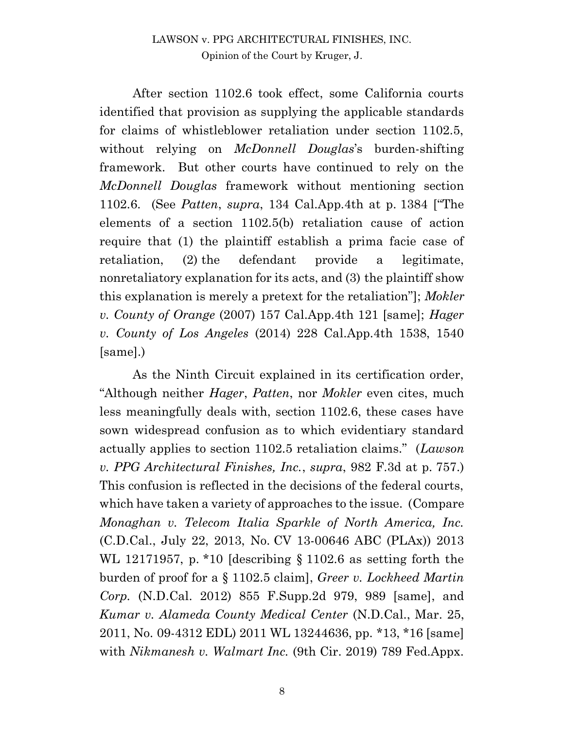After section 1102.6 took effect, some California courts identified that provision as supplying the applicable standards for claims of whistleblower retaliation under section 1102.5, without relying on *McDonnell Douglas*'s burden-shifting framework. But other courts have continued to rely on the *McDonnell Douglas* framework without mentioning section 1102.6. (See *Patten*, *supra*, 134 Cal.App.4th at p. 1384 ["The elements of a section 1102.5(b) retaliation cause of action require that (1) the plaintiff establish a prima facie case of retaliation, (2) the defendant provide a legitimate, nonretaliatory explanation for its acts, and (3) the plaintiff show this explanation is merely a pretext for the retaliation"]; *Mokler v. County of Orange* (2007) 157 Cal.App.4th 121 [same]; *Hager v. County of Los Angeles* (2014) 228 Cal.App.4th 1538, 1540 [same].)

As the Ninth Circuit explained in its certification order, "Although neither *Hager*, *Patten*, nor *Mokler* even cites, much less meaningfully deals with, section 1102.6, these cases have sown widespread confusion as to which evidentiary standard actually applies to section 1102.5 retaliation claims." (*Lawson v. PPG Architectural Finishes, Inc.*, *supra*, 982 F.3d at p. 757.) This confusion is reflected in the decisions of the federal courts, which have taken a variety of approaches to the issue. (Compare *Monaghan v. Telecom Italia Sparkle of North America, Inc.* (C.D.Cal., July 22, 2013, No. CV 13-00646 ABC (PLAx)) 2013 WL 12171957, p. \*10 [describing § 1102.6 as setting forth the burden of proof for a § 1102.5 claim], *Greer v. Lockheed Martin Corp.* (N.D.Cal. 2012) 855 F.Supp.2d 979, 989 [same], and *Kumar v. Alameda County Medical Center* (N.D.Cal., Mar. 25, 2011, No. 09-4312 EDL) 2011 WL 13244636, pp. \*13, \*16 [same] with *Nikmanesh v. Walmart Inc.* (9th Cir. 2019) 789 Fed.Appx.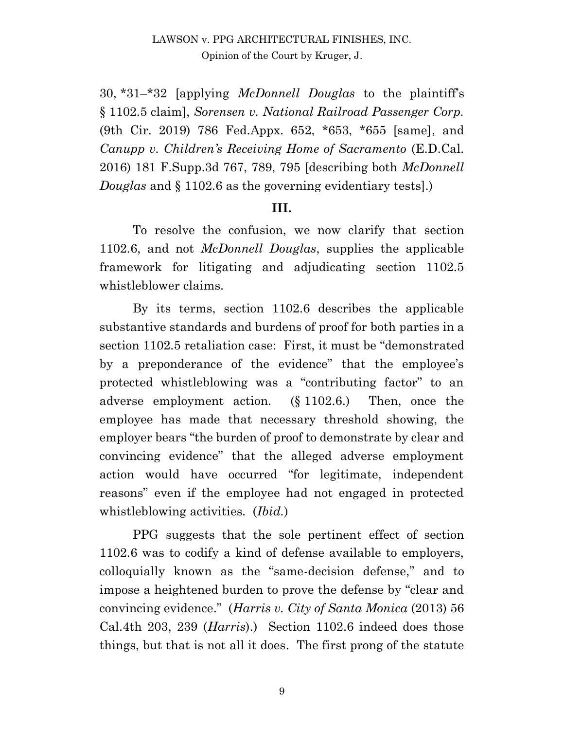30, \*31–\*32 [applying *McDonnell Douglas* to the plaintiff's § 1102.5 claim], *Sorensen v. National Railroad Passenger Corp.* (9th Cir. 2019) 786 Fed.Appx. 652, \*653, \*655 [same], and *Canupp v. Children's Receiving Home of Sacramento* (E.D.Cal. 2016) 181 F.Supp.3d 767, 789, 795 [describing both *McDonnell Douglas* and § 1102.6 as the governing evidentiary tests].)

#### **III.**

To resolve the confusion, we now clarify that section 1102.6, and not *McDonnell Douglas*, supplies the applicable framework for litigating and adjudicating section 1102.5 whistleblower claims.

By its terms, section 1102.6 describes the applicable substantive standards and burdens of proof for both parties in a section 1102.5 retaliation case: First, it must be "demonstrated by a preponderance of the evidence" that the employee's protected whistleblowing was a "contributing factor" to an adverse employment action. (§ 1102.6.) Then, once the employee has made that necessary threshold showing, the employer bears "the burden of proof to demonstrate by clear and convincing evidence" that the alleged adverse employment action would have occurred "for legitimate, independent reasons" even if the employee had not engaged in protected whistleblowing activities. (*Ibid.*)

PPG suggests that the sole pertinent effect of section 1102.6 was to codify a kind of defense available to employers, colloquially known as the "same-decision defense," and to impose a heightened burden to prove the defense by "clear and convincing evidence." (*Harris v. City of Santa Monica* (2013) 56 Cal.4th 203, 239 (*Harris*).) Section 1102.6 indeed does those things, but that is not all it does. The first prong of the statute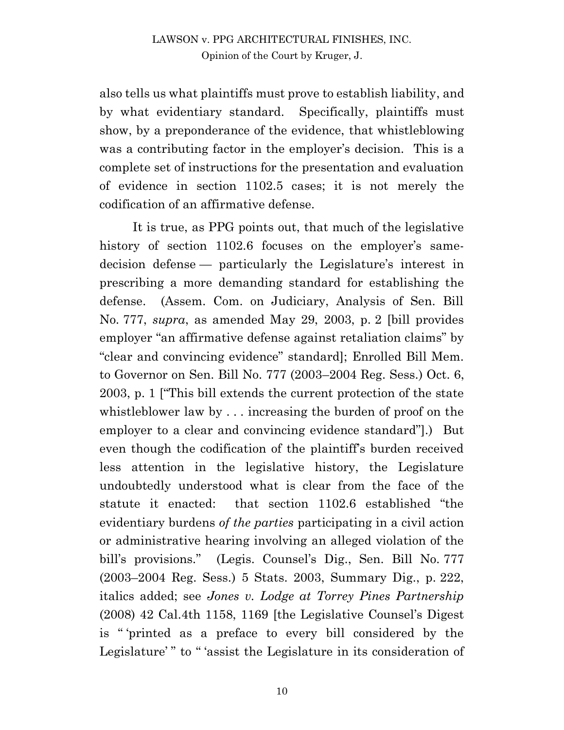also tells us what plaintiffs must prove to establish liability, and by what evidentiary standard. Specifically, plaintiffs must show, by a preponderance of the evidence, that whistleblowing was a contributing factor in the employer's decision. This is a complete set of instructions for the presentation and evaluation of evidence in section 1102.5 cases; it is not merely the codification of an affirmative defense.

It is true, as PPG points out, that much of the legislative history of section 1102.6 focuses on the employer's samedecision defense — particularly the Legislature's interest in prescribing a more demanding standard for establishing the defense. (Assem. Com. on Judiciary, Analysis of Sen. Bill No. 777, *supra*, as amended May 29, 2003, p. 2 [bill provides employer "an affirmative defense against retaliation claims" by "clear and convincing evidence" standard]; Enrolled Bill Mem. to Governor on Sen. Bill No. 777 (2003–2004 Reg. Sess.) Oct. 6, 2003, p. 1 ["This bill extends the current protection of the state whistleblower law by . . . increasing the burden of proof on the employer to a clear and convincing evidence standard"].) But even though the codification of the plaintiff's burden received less attention in the legislative history, the Legislature undoubtedly understood what is clear from the face of the statute it enacted: that section 1102.6 established "the evidentiary burdens *of the parties* participating in a civil action or administrative hearing involving an alleged violation of the bill's provisions." (Legis. Counsel's Dig., Sen. Bill No. 777 (2003–2004 Reg. Sess.) 5 Stats. 2003, Summary Dig., p. 222, italics added; see *Jones v. Lodge at Torrey Pines Partnership* (2008) 42 Cal.4th 1158, 1169 [the Legislative Counsel's Digest is " 'printed as a preface to every bill considered by the Legislature'" to "'assist the Legislature in its consideration of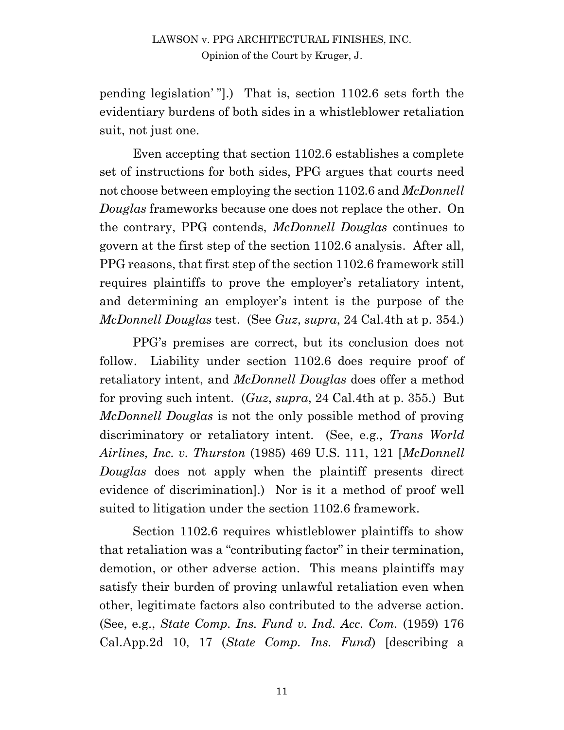pending legislation' "].) That is, section 1102.6 sets forth the evidentiary burdens of both sides in a whistleblower retaliation suit, not just one.

Even accepting that section 1102.6 establishes a complete set of instructions for both sides, PPG argues that courts need not choose between employing the section 1102.6 and *McDonnell Douglas* frameworks because one does not replace the other. On the contrary, PPG contends, *McDonnell Douglas* continues to govern at the first step of the section 1102.6 analysis. After all, PPG reasons, that first step of the section 1102.6 framework still requires plaintiffs to prove the employer's retaliatory intent, and determining an employer's intent is the purpose of the *McDonnell Douglas* test. (See *Guz*, *supra*, 24 Cal.4th at p. 354.)

PPG's premises are correct, but its conclusion does not follow. Liability under section 1102.6 does require proof of retaliatory intent, and *McDonnell Douglas* does offer a method for proving such intent. (*Guz*, *supra*, 24 Cal.4th at p. 355.) But *McDonnell Douglas* is not the only possible method of proving discriminatory or retaliatory intent. (See, e.g., *Trans World Airlines, Inc. v. Thurston* (1985) 469 U.S. 111, 121 [*McDonnell Douglas* does not apply when the plaintiff presents direct evidence of discrimination].) Nor is it a method of proof well suited to litigation under the section 1102.6 framework.

Section 1102.6 requires whistleblower plaintiffs to show that retaliation was a "contributing factor" in their termination, demotion, or other adverse action. This means plaintiffs may satisfy their burden of proving unlawful retaliation even when other, legitimate factors also contributed to the adverse action. (See, e.g., *State Comp. Ins. Fund v. Ind. Acc. Com.* (1959) 176 Cal.App.2d 10, 17 (*State Comp. Ins. Fund*) [describing a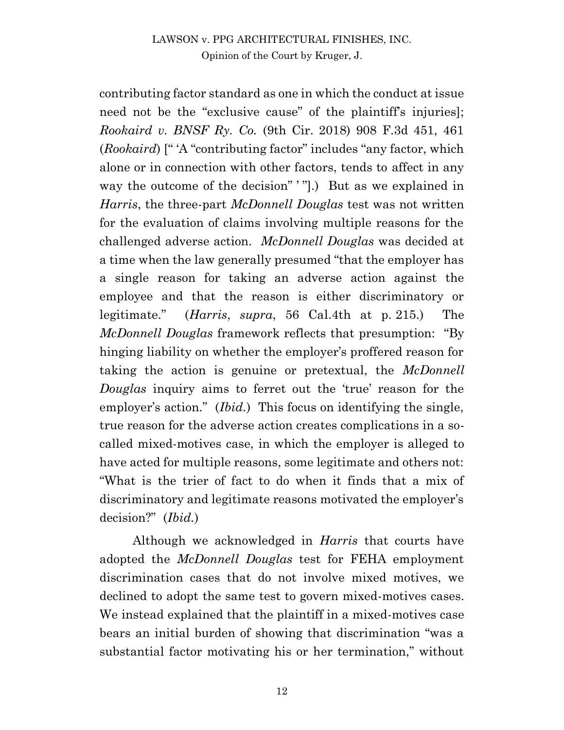contributing factor standard as one in which the conduct at issue need not be the "exclusive cause" of the plaintiff's injuries]; *Rookaird v. BNSF Ry. Co.* (9th Cir. 2018) 908 F.3d 451, 461 (*Rookaird*) [" 'A "contributing factor" includes "any factor, which alone or in connection with other factors, tends to affect in any way the outcome of the decision" '"].) But as we explained in *Harris*, the three-part *McDonnell Douglas* test was not written for the evaluation of claims involving multiple reasons for the challenged adverse action. *McDonnell Douglas* was decided at a time when the law generally presumed "that the employer has a single reason for taking an adverse action against the employee and that the reason is either discriminatory or legitimate." (*Harris*, *supra*, 56 Cal.4th at p. 215.) The *McDonnell Douglas* framework reflects that presumption: "By hinging liability on whether the employer's proffered reason for taking the action is genuine or pretextual, the *McDonnell Douglas* inquiry aims to ferret out the 'true' reason for the employer's action." *(Ibid.)* This focus on identifying the single, true reason for the adverse action creates complications in a socalled mixed-motives case, in which the employer is alleged to have acted for multiple reasons, some legitimate and others not: "What is the trier of fact to do when it finds that a mix of discriminatory and legitimate reasons motivated the employer's decision?" (*Ibid.*)

Although we acknowledged in *Harris* that courts have adopted the *McDonnell Douglas* test for FEHA employment discrimination cases that do not involve mixed motives, we declined to adopt the same test to govern mixed-motives cases. We instead explained that the plaintiff in a mixed-motives case bears an initial burden of showing that discrimination "was a substantial factor motivating his or her termination," without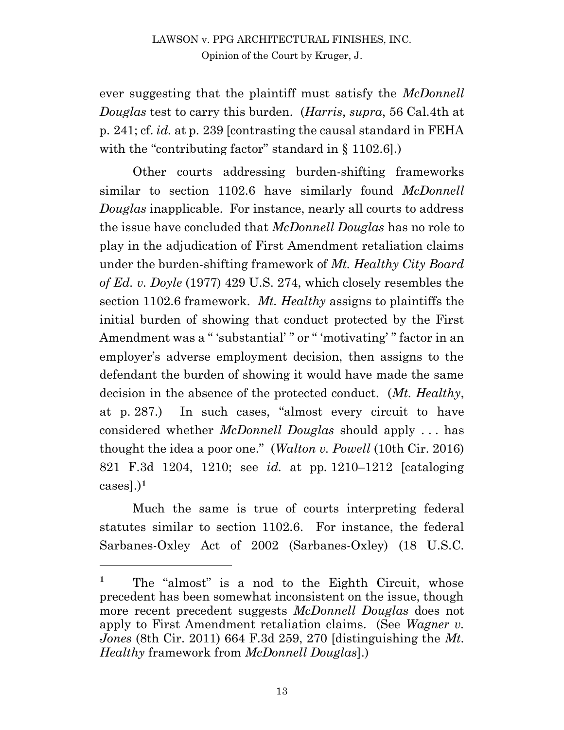ever suggesting that the plaintiff must satisfy the *McDonnell Douglas* test to carry this burden. (*Harris*, *supra*, 56 Cal.4th at p. 241; cf. *id.* at p. 239 [contrasting the causal standard in FEHA with the "contributing factor" standard in § 1102.6].

Other courts addressing burden-shifting frameworks similar to section 1102.6 have similarly found *McDonnell Douglas* inapplicable. For instance, nearly all courts to address the issue have concluded that *McDonnell Douglas* has no role to play in the adjudication of First Amendment retaliation claims under the burden-shifting framework of *Mt. Healthy City Board of Ed. v. Doyle* (1977) 429 U.S. 274, which closely resembles the section 1102.6 framework. *Mt. Healthy* assigns to plaintiffs the initial burden of showing that conduct protected by the First Amendment was a "'substantial'" or "'motivating'" factor in an employer's adverse employment decision, then assigns to the defendant the burden of showing it would have made the same decision in the absence of the protected conduct. (*Mt. Healthy*, at p. 287.) In such cases, "almost every circuit to have considered whether *McDonnell Douglas* should apply . . . has thought the idea a poor one." (*Walton v. Powell* (10th Cir. 2016) 821 F.3d 1204, 1210; see *id.* at pp. 1210–1212 [cataloging cases].)**<sup>1</sup>**

Much the same is true of courts interpreting federal statutes similar to section 1102.6. For instance, the federal Sarbanes-Oxley Act of 2002 (Sarbanes-Oxley) (18 U.S.C.

13

<sup>&</sup>lt;sup>1</sup> The "almost" is a nod to the Eighth Circuit, whose precedent has been somewhat inconsistent on the issue, though more recent precedent suggests *McDonnell Douglas* does not apply to First Amendment retaliation claims. (See *Wagner v. Jones* (8th Cir. 2011) 664 F.3d 259, 270 [distinguishing the *Mt. Healthy* framework from *McDonnell Douglas*].)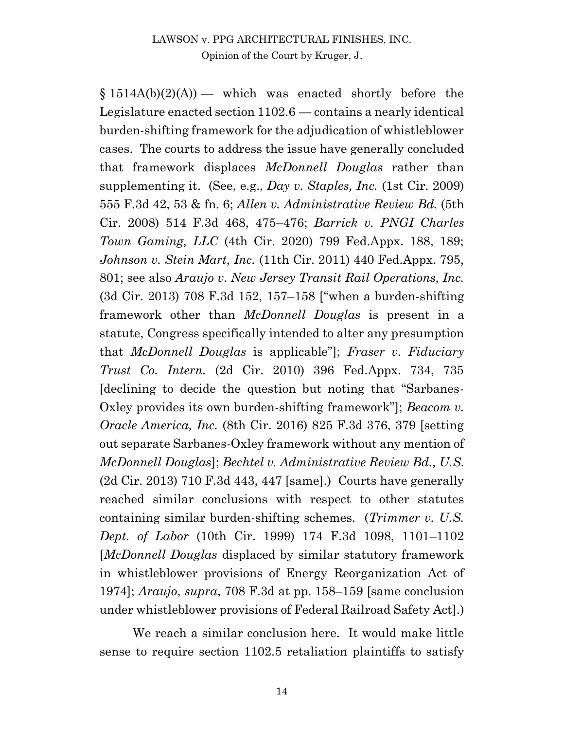$$1514A(b)(2)(A)$  — which was enacted shortly before the Legislature enacted section 1102.6 — contains a nearly identical burden-shifting framework for the adjudication of whistleblower cases. The courts to address the issue have generally concluded that framework displaces *McDonnell Douglas* rather than supplementing it. (See, e.g., *Day v. Staples, Inc.* (1st Cir. 2009) 555 F.3d 42, 53 & fn. 6; *Allen v. Administrative Review Bd.* (5th Cir. 2008) 514 F.3d 468, 475–476; *Barrick v. PNGI Charles Town Gaming, LLC* (4th Cir. 2020) 799 Fed.Appx. 188, 189; *Johnson v. Stein Mart, Inc.* (11th Cir. 2011) 440 Fed.Appx. 795, 801; see also *Araujo v. New Jersey Transit Rail Operations, Inc.* (3d Cir. 2013) 708 F.3d 152, 157–158 ["when a burden-shifting framework other than *McDonnell Douglas* is present in a statute, Congress specifically intended to alter any presumption that *McDonnell Douglas* is applicable"]; *Fraser v. Fiduciary Trust Co. Intern.* (2d Cir. 2010) 396 Fed.Appx. 734, 735 [declining to decide the question but noting that "Sarbanes-Oxley provides its own burden-shifting framework"]; *Beacom v. Oracle America, Inc.* (8th Cir. 2016) 825 F.3d 376, 379 [setting out separate Sarbanes-Oxley framework without any mention of *McDonnell Douglas*]; *Bechtel v. Administrative Review Bd., U.S.* (2d Cir. 2013) 710 F.3d 443, 447 [same].) Courts have generally reached similar conclusions with respect to other statutes containing similar burden-shifting schemes. (*Trimmer v. U.S. Dept. of Labor* (10th Cir. 1999) 174 F.3d 1098, 1101–1102 [*McDonnell Douglas* displaced by similar statutory framework in whistleblower provisions of Energy Reorganization Act of 1974]; *Araujo*, *supra*, 708 F.3d at pp. 158–159 [same conclusion under whistleblower provisions of Federal Railroad Safety Act].)

We reach a similar conclusion here. It would make little sense to require section 1102.5 retaliation plaintiffs to satisfy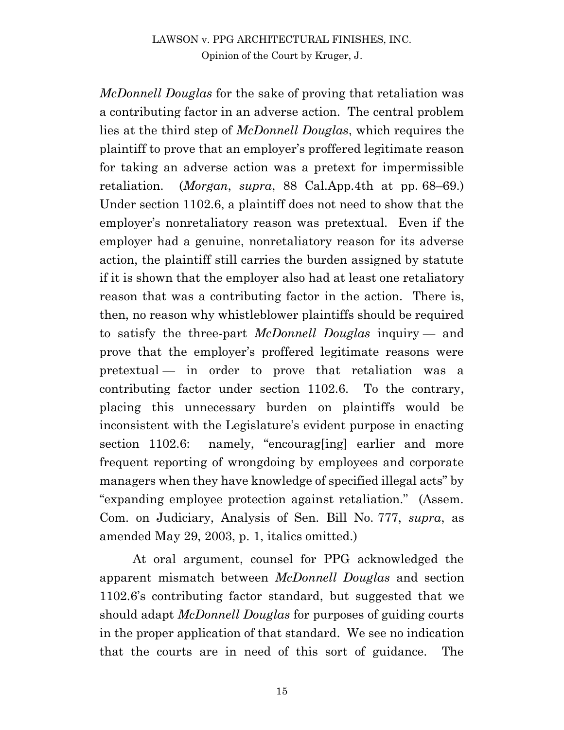*McDonnell Douglas* for the sake of proving that retaliation was a contributing factor in an adverse action. The central problem lies at the third step of *McDonnell Douglas*, which requires the plaintiff to prove that an employer's proffered legitimate reason for taking an adverse action was a pretext for impermissible retaliation. (*Morgan*, *supra*, 88 Cal.App.4th at pp. 68–69.) Under section 1102.6, a plaintiff does not need to show that the employer's nonretaliatory reason was pretextual. Even if the employer had a genuine, nonretaliatory reason for its adverse action, the plaintiff still carries the burden assigned by statute if it is shown that the employer also had at least one retaliatory reason that was a contributing factor in the action. There is, then, no reason why whistleblower plaintiffs should be required to satisfy the three-part *McDonnell Douglas* inquiry — and prove that the employer's proffered legitimate reasons were pretextual — in order to prove that retaliation was a contributing factor under section 1102.6. To the contrary, placing this unnecessary burden on plaintiffs would be inconsistent with the Legislature's evident purpose in enacting section 1102.6: namely, "encourageling earlier and more frequent reporting of wrongdoing by employees and corporate managers when they have knowledge of specified illegal acts" by "expanding employee protection against retaliation." (Assem. Com. on Judiciary, Analysis of Sen. Bill No. 777, *supra*, as amended May 29, 2003, p. 1, italics omitted.)

At oral argument, counsel for PPG acknowledged the apparent mismatch between *McDonnell Douglas* and section 1102.6's contributing factor standard, but suggested that we should adapt *McDonnell Douglas* for purposes of guiding courts in the proper application of that standard. We see no indication that the courts are in need of this sort of guidance. The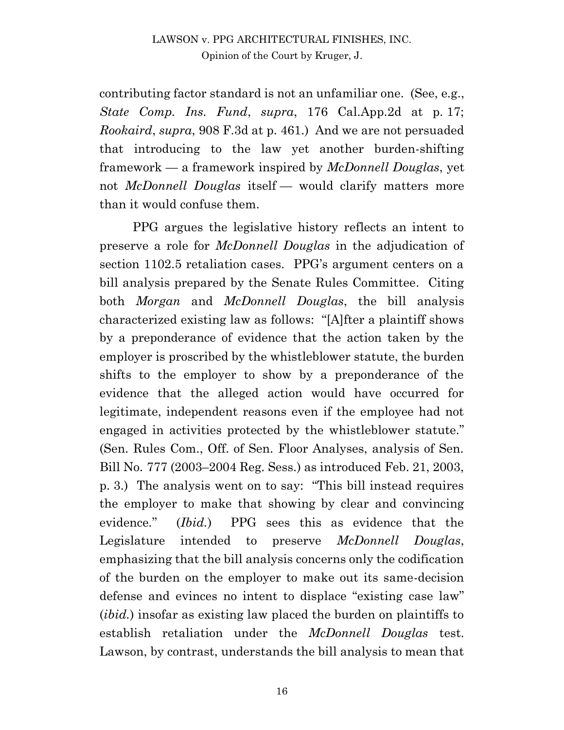contributing factor standard is not an unfamiliar one. (See, e.g., *State Comp. Ins. Fund*, *supra*, 176 Cal.App.2d at p. 17; *Rookaird*, *supra*, 908 F.3d at p. 461.) And we are not persuaded that introducing to the law yet another burden-shifting framework — a framework inspired by *McDonnell Douglas*, yet not *McDonnell Douglas* itself — would clarify matters more than it would confuse them.

PPG argues the legislative history reflects an intent to preserve a role for *McDonnell Douglas* in the adjudication of section 1102.5 retaliation cases. PPG's argument centers on a bill analysis prepared by the Senate Rules Committee. Citing both *Morgan* and *McDonnell Douglas*, the bill analysis characterized existing law as follows: "[A]fter a plaintiff shows by a preponderance of evidence that the action taken by the employer is proscribed by the whistleblower statute, the burden shifts to the employer to show by a preponderance of the evidence that the alleged action would have occurred for legitimate, independent reasons even if the employee had not engaged in activities protected by the whistleblower statute." (Sen. Rules Com., Off. of Sen. Floor Analyses, analysis of Sen. Bill No. 777 (2003–2004 Reg. Sess.) as introduced Feb. 21, 2003, p. 3.) The analysis went on to say: "This bill instead requires the employer to make that showing by clear and convincing evidence*.*" (*Ibid.*) PPG sees this as evidence that the Legislature intended to preserve *McDonnell Douglas*, emphasizing that the bill analysis concerns only the codification of the burden on the employer to make out its same-decision defense and evinces no intent to displace "existing case law" (*ibid.*) insofar as existing law placed the burden on plaintiffs to establish retaliation under the *McDonnell Douglas* test. Lawson, by contrast, understands the bill analysis to mean that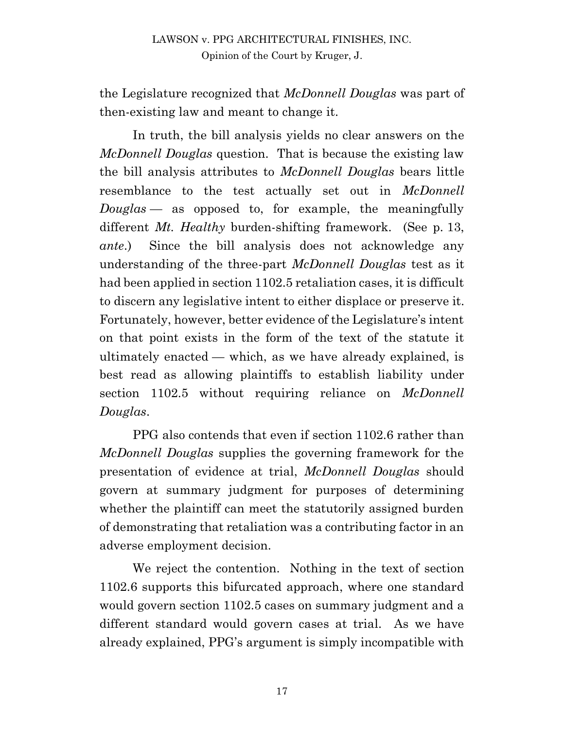the Legislature recognized that *McDonnell Douglas* was part of then-existing law and meant to change it.

In truth, the bill analysis yields no clear answers on the *McDonnell Douglas* question. That is because the existing law the bill analysis attributes to *McDonnell Douglas* bears little resemblance to the test actually set out in *McDonnell Douglas* — as opposed to, for example, the meaningfully different *Mt. Healthy* burden-shifting framework. (See p. 13, *ante*.) Since the bill analysis does not acknowledge any understanding of the three-part *McDonnell Douglas* test as it had been applied in section 1102.5 retaliation cases, it is difficult to discern any legislative intent to either displace or preserve it. Fortunately, however, better evidence of the Legislature's intent on that point exists in the form of the text of the statute it ultimately enacted — which, as we have already explained, is best read as allowing plaintiffs to establish liability under section 1102.5 without requiring reliance on *McDonnell Douglas*.

PPG also contends that even if section 1102.6 rather than *McDonnell Douglas* supplies the governing framework for the presentation of evidence at trial, *McDonnell Douglas* should govern at summary judgment for purposes of determining whether the plaintiff can meet the statutorily assigned burden of demonstrating that retaliation was a contributing factor in an adverse employment decision.

We reject the contention. Nothing in the text of section 1102.6 supports this bifurcated approach, where one standard would govern section 1102.5 cases on summary judgment and a different standard would govern cases at trial. As we have already explained, PPG's argument is simply incompatible with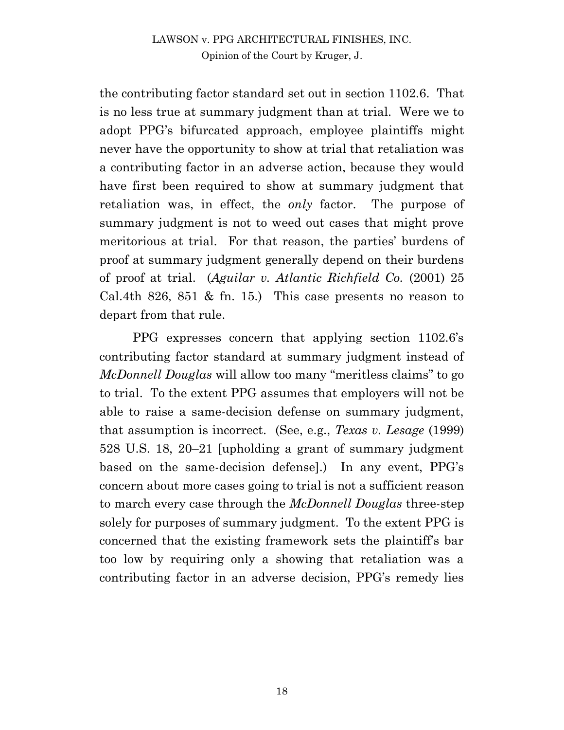the contributing factor standard set out in section 1102.6. That is no less true at summary judgment than at trial. Were we to adopt PPG's bifurcated approach, employee plaintiffs might never have the opportunity to show at trial that retaliation was a contributing factor in an adverse action, because they would have first been required to show at summary judgment that retaliation was, in effect, the *only* factor. The purpose of summary judgment is not to weed out cases that might prove meritorious at trial. For that reason, the parties' burdens of proof at summary judgment generally depend on their burdens of proof at trial. (*Aguilar v. Atlantic Richfield Co.* (2001) 25 Cal.4th 826, 851 & fn. 15.) This case presents no reason to depart from that rule.

PPG expresses concern that applying section 1102.6's contributing factor standard at summary judgment instead of *McDonnell Douglas* will allow too many "meritless claims" to go to trial. To the extent PPG assumes that employers will not be able to raise a same-decision defense on summary judgment, that assumption is incorrect. (See, e.g., *Texas v. Lesage* (1999) 528 U.S. 18, 20–21 [upholding a grant of summary judgment based on the same-decision defense].) In any event, PPG's concern about more cases going to trial is not a sufficient reason to march every case through the *McDonnell Douglas* three-step solely for purposes of summary judgment. To the extent PPG is concerned that the existing framework sets the plaintiff's bar too low by requiring only a showing that retaliation was a contributing factor in an adverse decision, PPG's remedy lies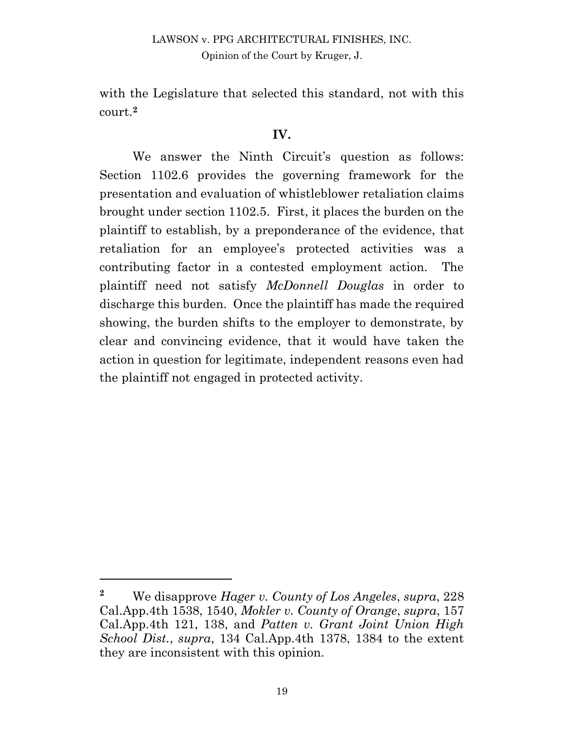with the Legislature that selected this standard, not with this court.**<sup>2</sup>**

#### **IV.**

We answer the Ninth Circuit's question as follows: Section 1102.6 provides the governing framework for the presentation and evaluation of whistleblower retaliation claims brought under section 1102.5. First, it places the burden on the plaintiff to establish, by a preponderance of the evidence, that retaliation for an employee's protected activities was a contributing factor in a contested employment action. The plaintiff need not satisfy *McDonnell Douglas* in order to discharge this burden. Once the plaintiff has made the required showing, the burden shifts to the employer to demonstrate, by clear and convincing evidence, that it would have taken the action in question for legitimate, independent reasons even had the plaintiff not engaged in protected activity.

**<sup>2</sup>** We disapprove *Hager v. County of Los Angeles*, *supra*, 228 Cal.App.4th 1538, 1540, *Mokler v. County of Orange*, *supra*, 157 Cal.App.4th 121, 138, and *Patten v. Grant Joint Union High School Dist.*, *supra*, 134 Cal.App.4th 1378, 1384 to the extent they are inconsistent with this opinion.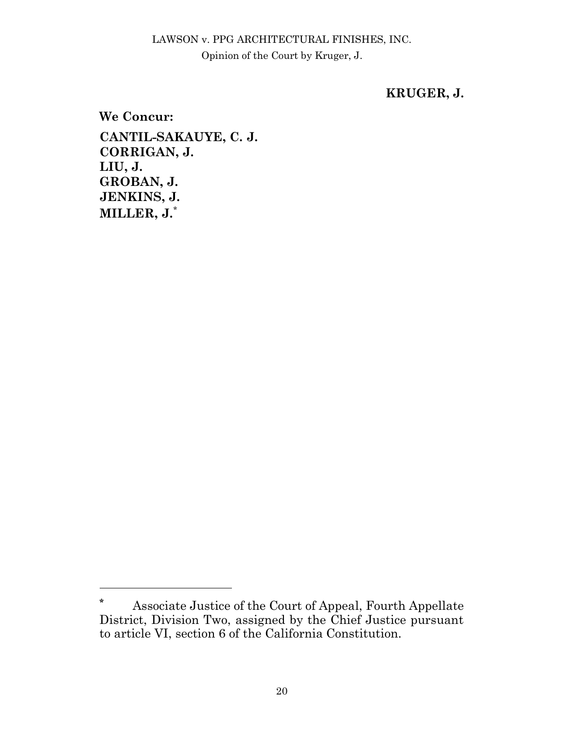### **KRUGER, J.**

**We Concur: CANTIL-SAKAUYE, C. J. CORRIGAN, J. LIU, J. GROBAN, J. JENKINS, J. MILLER, J.**\*

**<sup>\*</sup>** Associate Justice of the Court of Appeal, Fourth Appellate District, Division Two, assigned by the Chief Justice pursuant to article VI, section 6 of the California Constitution.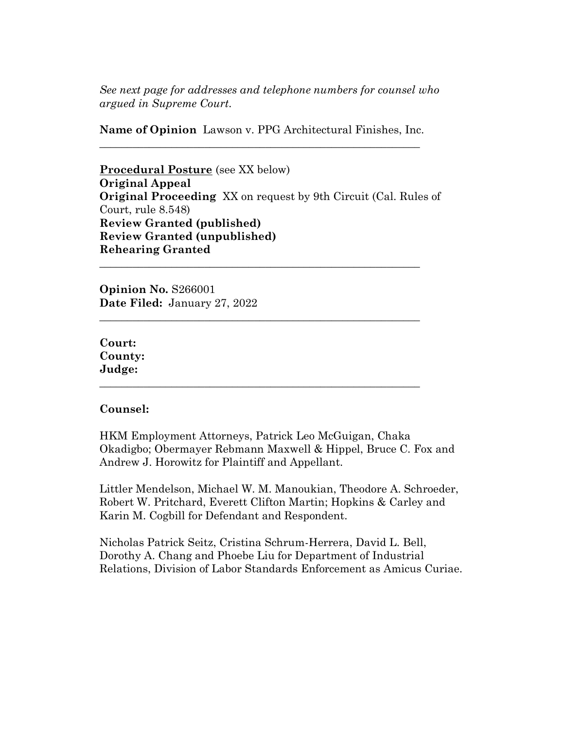*See next page for addresses and telephone numbers for counsel who argued in Supreme Court.*

**Name of Opinion** Lawson v. PPG Architectural Finishes, Inc. **\_\_\_\_\_\_\_\_\_\_\_\_\_\_\_\_\_\_\_\_\_\_\_\_\_\_\_\_\_\_\_\_\_\_\_\_\_\_\_\_\_\_\_\_\_\_\_\_\_\_\_\_\_\_\_\_\_\_** 

**Procedural Posture** (see XX below) **Original Appeal Original Proceeding** XX on request by 9th Circuit (Cal. Rules of Court, rule 8.548) **Review Granted (published) Review Granted (unpublished) Rehearing Granted**

**\_\_\_\_\_\_\_\_\_\_\_\_\_\_\_\_\_\_\_\_\_\_\_\_\_\_\_\_\_\_\_\_\_\_\_\_\_\_\_\_\_\_\_\_\_\_\_\_\_\_\_\_\_\_\_\_\_\_** 

**\_\_\_\_\_\_\_\_\_\_\_\_\_\_\_\_\_\_\_\_\_\_\_\_\_\_\_\_\_\_\_\_\_\_\_\_\_\_\_\_\_\_\_\_\_\_\_\_\_\_\_\_\_\_\_\_\_\_** 

**\_\_\_\_\_\_\_\_\_\_\_\_\_\_\_\_\_\_\_\_\_\_\_\_\_\_\_\_\_\_\_\_\_\_\_\_\_\_\_\_\_\_\_\_\_\_\_\_\_\_\_\_\_\_\_\_\_\_** 

**Opinion No.** S266001 **Date Filed:** January 27, 2022

**Court: County: Judge:** 

#### **Counsel:**

HKM Employment Attorneys, Patrick Leo McGuigan, Chaka Okadigbo; Obermayer Rebmann Maxwell & Hippel, Bruce C. Fox and Andrew J. Horowitz for Plaintiff and Appellant.

Littler Mendelson, Michael W. M. Manoukian, Theodore A. Schroeder, Robert W. Pritchard, Everett Clifton Martin; Hopkins & Carley and Karin M. Cogbill for Defendant and Respondent.

Nicholas Patrick Seitz, Cristina Schrum-Herrera, David L. Bell, Dorothy A. Chang and Phoebe Liu for Department of Industrial Relations, Division of Labor Standards Enforcement as Amicus Curiae.